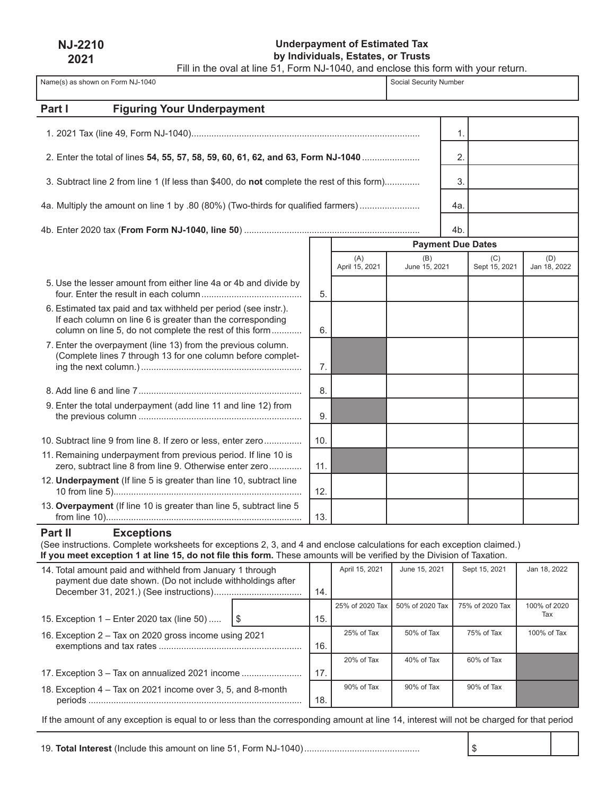**NJ-2210 2021**

# **Underpayment of Estimated Tax by Individuals, Estates, or Trusts**

Fill in the oval at line 51, Form NJ-1040, and enclose this form with your return.

| Name(s) as shown on Form NJ-1040                                                                                                                                                                                                                                                  |    |     |                       |                      | Social Security Number |                          |                     |  |
|-----------------------------------------------------------------------------------------------------------------------------------------------------------------------------------------------------------------------------------------------------------------------------------|----|-----|-----------------------|----------------------|------------------------|--------------------------|---------------------|--|
| <b>Figuring Your Underpayment</b><br>Part I                                                                                                                                                                                                                                       |    |     |                       |                      |                        |                          |                     |  |
|                                                                                                                                                                                                                                                                                   |    |     |                       |                      |                        |                          |                     |  |
|                                                                                                                                                                                                                                                                                   |    |     |                       |                      | 1.                     |                          |                     |  |
| 2. Enter the total of lines 54, 55, 57, 58, 59, 60, 61, 62, and 63, Form NJ-1040                                                                                                                                                                                                  |    |     |                       |                      | 2.                     |                          |                     |  |
| 3. Subtract line 2 from line 1 (If less than \$400, do not complete the rest of this form)                                                                                                                                                                                        |    |     |                       |                      | 3.                     |                          |                     |  |
| 4a. Multiply the amount on line 1 by .80 (80%) (Two-thirds for qualified farmers)                                                                                                                                                                                                 |    |     |                       |                      | 4а.                    |                          |                     |  |
|                                                                                                                                                                                                                                                                                   |    |     |                       |                      | 4b.                    |                          |                     |  |
|                                                                                                                                                                                                                                                                                   |    |     |                       |                      |                        | <b>Payment Due Dates</b> |                     |  |
|                                                                                                                                                                                                                                                                                   |    |     | (A)<br>April 15, 2021 | (B)<br>June 15, 2021 |                        | (C)<br>Sept 15, 2021     | (D)<br>Jan 18, 2022 |  |
| 5. Use the lesser amount from either line 4a or 4b and divide by                                                                                                                                                                                                                  |    | 5.  |                       |                      |                        |                          |                     |  |
| 6. Estimated tax paid and tax withheld per period (see instr.).<br>If each column on line 6 is greater than the corresponding<br>column on line 5, do not complete the rest of this form                                                                                          |    | 6.  |                       |                      |                        |                          |                     |  |
| 7. Enter the overpayment (line 13) from the previous column.<br>(Complete lines 7 through 13 for one column before complet-                                                                                                                                                       |    | 7.  |                       |                      |                        |                          |                     |  |
|                                                                                                                                                                                                                                                                                   |    | 8.  |                       |                      |                        |                          |                     |  |
| 9. Enter the total underpayment (add line 11 and line 12) from                                                                                                                                                                                                                    |    | 9.  |                       |                      |                        |                          |                     |  |
| 10. Subtract line 9 from line 8. If zero or less, enter zero                                                                                                                                                                                                                      |    | 10. |                       |                      |                        |                          |                     |  |
| 11. Remaining underpayment from previous period. If line 10 is<br>zero, subtract line 8 from line 9. Otherwise enter zero                                                                                                                                                         |    | 11. |                       |                      |                        |                          |                     |  |
| 12. Underpayment (If line 5 is greater than line 10, subtract line                                                                                                                                                                                                                |    | 12. |                       |                      |                        |                          |                     |  |
| 13. Overpayment (If line 10 is greater than line 5, subtract line 5                                                                                                                                                                                                               |    | 13. |                       |                      |                        |                          |                     |  |
| Part II<br><b>Exceptions</b><br>(See instructions. Complete worksheets for exceptions 2, 3, and 4 and enclose calculations for each exception claimed.)<br>If you meet exception 1 at line 15, do not file this form. These amounts will be verified by the Division of Taxation. |    |     |                       |                      |                        |                          |                     |  |
| 14. Total amount paid and withheld from January 1 through<br>payment due date shown. (Do not include withholdings after                                                                                                                                                           |    | 14. | April 15, 2021        | June 15, 2021        |                        | Sept 15, 2021            | Jan 18, 2022        |  |
| 15. Exception 1 - Enter 2020 tax (line 50)                                                                                                                                                                                                                                        | \$ | 15. | 25% of 2020 Tax       | 50% of 2020 Tax      |                        | 75% of 2020 Tax          | 100% of 2020<br>Tax |  |
| 16. Exception 2 - Tax on 2020 gross income using 2021                                                                                                                                                                                                                             |    | 16. | 25% of Tax            | 50% of Tax           |                        | 75% of Tax               | 100% of Tax         |  |
|                                                                                                                                                                                                                                                                                   |    |     | 20% of Tax            | 40% of Tax           |                        | 60% of Tax               |                     |  |

| 18. Exception 4 – Tax on 2021 income over 3, 5, and 8-month |     |
|-------------------------------------------------------------|-----|
|                                                             | 18. |

If the amount of any exception is equal to or less than the corresponding amount at line 14, interest will not be charged for that period

19. **Total Interest** (Include this amount on line 51, Form NJ-1040).............................................. \$

90% of Tax 90% of Tax 90% of Tax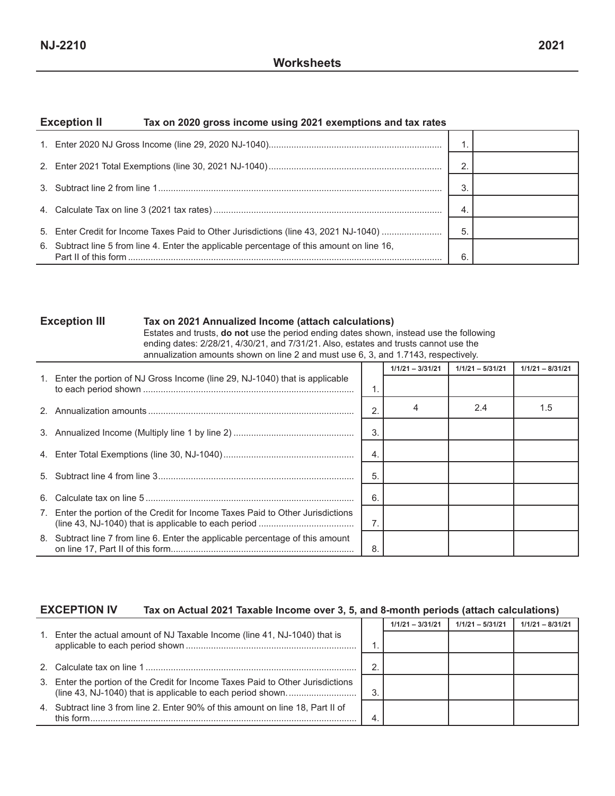#### **Exception II Tax on 2020 gross income using 2021 exemptions and tax rates**

|                                                                                            | -4. |  |
|--------------------------------------------------------------------------------------------|-----|--|
| 5. Enter Credit for Income Taxes Paid to Other Jurisdictions (line 43, 2021 NJ-1040)       | 5   |  |
| 6. Subtract line 5 from line 4. Enter the applicable percentage of this amount on line 16, | 6   |  |

#### **Exception III Tax on 2021 Annualized Income (attach calculations)**

Estates and trusts, **do not** use the period ending dates shown, instead use the following ending dates: 2/28/21, 4/30/21, and 7/31/21. Also, estates and trusts cannot use the annualization amounts shown on line 2 and must use 6, 3, and 1.7143, respectively.

|    |                                                                                |                | $1/1/21 - 3/31/21$ | $1/1/21 - 5/31/21$ | $1/1/21 - 8/31/21$ |
|----|--------------------------------------------------------------------------------|----------------|--------------------|--------------------|--------------------|
|    | 1. Enter the portion of NJ Gross Income (line 29, NJ-1040) that is applicable  | 1.             |                    |                    |                    |
|    |                                                                                | $\overline{2}$ |                    | 2.4                | 1.5                |
|    |                                                                                | 3              |                    |                    |                    |
|    |                                                                                | 4.             |                    |                    |                    |
|    |                                                                                | 5              |                    |                    |                    |
| 6. |                                                                                | 6              |                    |                    |                    |
| 7. | Enter the portion of the Credit for Income Taxes Paid to Other Jurisdictions   | $\overline{7}$ |                    |                    |                    |
|    | 8. Subtract line 7 from line 6. Enter the applicable percentage of this amount | 8              |                    |                    |                    |

#### **EXCEPTION IV Tax on Actual 2021 Taxable Income over 3, 5, and 8-month periods (attach calculations)**

|                                                                                              |        | $1/1/21 - 3/31/21$ | $1/1/21 - 5/31/21$ | $1/1/21 - 8/31/21$ |
|----------------------------------------------------------------------------------------------|--------|--------------------|--------------------|--------------------|
| 1. Enter the actual amount of NJ Taxable Income (line 41, NJ-1040) that is                   |        |                    |                    |                    |
|                                                                                              | $\sim$ |                    |                    |                    |
| 3. Enter the portion of the Credit for Income Taxes Paid to Other Jurisdictions              | 3      |                    |                    |                    |
| 4. Subtract line 3 from line 2. Enter 90% of this amount on line 18, Part II of<br>this form |        |                    |                    |                    |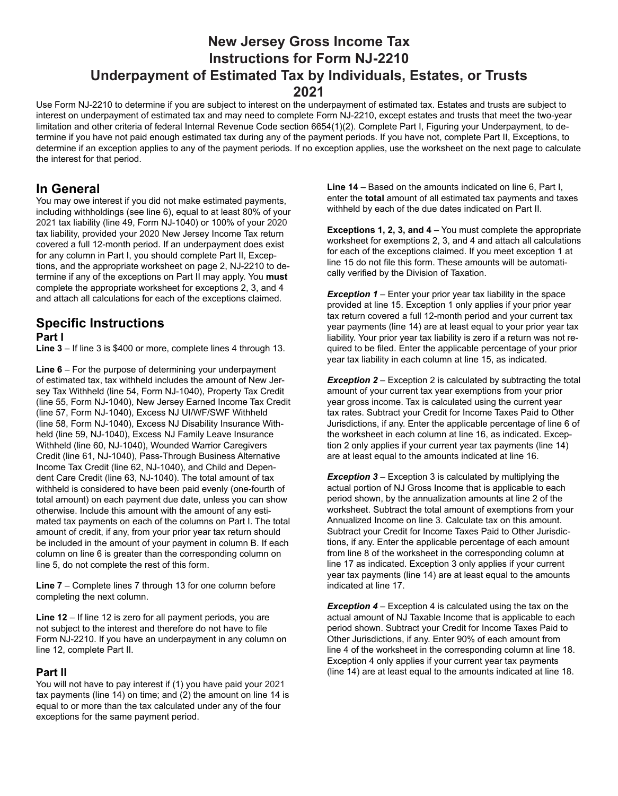# **New Jersey Gross Income Tax Instructions for Form NJ-2210 Underpayment of Estimated Tax by Individuals, Estates, or Trusts 2021**

Use Form NJ-2210 to determine if you are subject to interest on the underpayment of estimated tax. Estates and trusts are subject to interest on underpayment of estimated tax and may need to complete Form NJ-2210, except estates and trusts that meet the two-year limitation and other criteria of federal Internal Revenue Code section 6654(1)(2). Complete Part I, Figuring your Underpayment, to determine if you have not paid enough estimated tax during any of the payment periods. If you have not, complete Part II, Exceptions, to determine if an exception applies to any of the payment periods. If no exception applies, use the worksheet on the next page to calculate the interest for that period.

## **In General**

You may owe interest if you did not make estimated payments, including withholdings (see line 6), equal to at least 80% of your 2021 tax liability (line 49, Form NJ-1040) or 100% of your 2020 tax liability, provided your 2020 New Jersey Income Tax return covered a full 12-month period. If an underpayment does exist for any column in Part I, you should complete Part II, Exceptions, and the appropriate worksheet on page 2, NJ-2210 to determine if any of the exceptions on Part II may apply. You **must** complete the appropriate worksheet for exceptions 2, 3, and 4 and attach all calculations for each of the exceptions claimed.

## **Specific Instructions Part I**

**Line 3** – If line 3 is \$400 or more, complete lines 4 through 13.

**Line 6** – For the purpose of determining your underpayment of estimated tax, tax withheld includes the amount of New Jersey Tax Withheld (line 54, Form NJ-1040), Property Tax Credit (line 55, Form NJ-1040), New Jersey Earned Income Tax Credit (line 57, Form NJ-1040), Excess NJ UI/WF/SWF Withheld (line 58, Form NJ-1040), Excess NJ Disability Insurance Withheld (line 59, NJ-1040), Excess NJ Family Leave Insurance Withheld (line 60, NJ-1040), Wounded Warrior Caregivers Credit (line 61, NJ-1040), Pass-Through Business Alternative Income Tax Credit (line 62, NJ-1040), and Child and Dependent Care Credit (line 63, NJ-1040). The total amount of tax withheld is considered to have been paid evenly (one-fourth of total amount) on each payment due date, unless you can show otherwise. Include this amount with the amount of any estimated tax payments on each of the columns on Part I. The total amount of credit, if any, from your prior year tax return should be included in the amount of your payment in column B. If each column on line 6 is greater than the corresponding column on line 5, do not complete the rest of this form.

**Line 7** – Complete lines 7 through 13 for one column before completing the next column.

**Line 12** – If line 12 is zero for all payment periods, you are not subject to the interest and therefore do not have to file Form NJ-2210. If you have an underpayment in any column on line 12, complete Part II.

### **Part II**

You will not have to pay interest if (1) you have paid your 2021 tax payments (line 14) on time; and (2) the amount on line 14 is equal to or more than the tax calculated under any of the four exceptions for the same payment period.

**Line 14** – Based on the amounts indicated on line 6, Part I, enter the **total** amount of all estimated tax payments and taxes withheld by each of the due dates indicated on Part II.

**Exceptions 1, 2, 3, and 4** – You must complete the appropriate worksheet for exemptions 2, 3, and 4 and attach all calculations for each of the exceptions claimed. If you meet exception 1 at line 15 do not file this form. These amounts will be automatically verified by the Division of Taxation.

**Exception 1** – Enter your prior year tax liability in the space provided at line 15. Exception 1 only applies if your prior year tax return covered a full 12-month period and your current tax year payments (line 14) are at least equal to your prior year tax liability. Your prior year tax liability is zero if a return was not required to be filed. Enter the applicable percentage of your prior year tax liability in each column at line 15, as indicated.

**Exception 2** – Exception 2 is calculated by subtracting the total amount of your current tax year exemptions from your prior year gross income. Tax is calculated using the current year tax rates. Subtract your Credit for Income Taxes Paid to Other Jurisdictions, if any. Enter the applicable percentage of line 6 of the worksheet in each column at line 16, as indicated. Exception 2 only applies if your current year tax payments (line 14) are at least equal to the amounts indicated at line 16.

*Exception 3* – Exception 3 is calculated by multiplying the actual portion of NJ Gross Income that is applicable to each period shown, by the annualization amounts at line 2 of the worksheet. Subtract the total amount of exemptions from your Annualized Income on line 3. Calculate tax on this amount. Subtract your Credit for Income Taxes Paid to Other Jurisdictions, if any. Enter the applicable percentage of each amount from line 8 of the worksheet in the corresponding column at line 17 as indicated. Exception 3 only applies if your current year tax payments (line 14) are at least equal to the amounts indicated at line 17.

**Exception 4** – Exception 4 is calculated using the tax on the actual amount of NJ Taxable Income that is applicable to each period shown. Subtract your Credit for Income Taxes Paid to Other Jurisdictions, if any. Enter 90% of each amount from line 4 of the worksheet in the corresponding column at line 18. Exception 4 only applies if your current year tax payments (line 14) are at least equal to the amounts indicated at line 18.